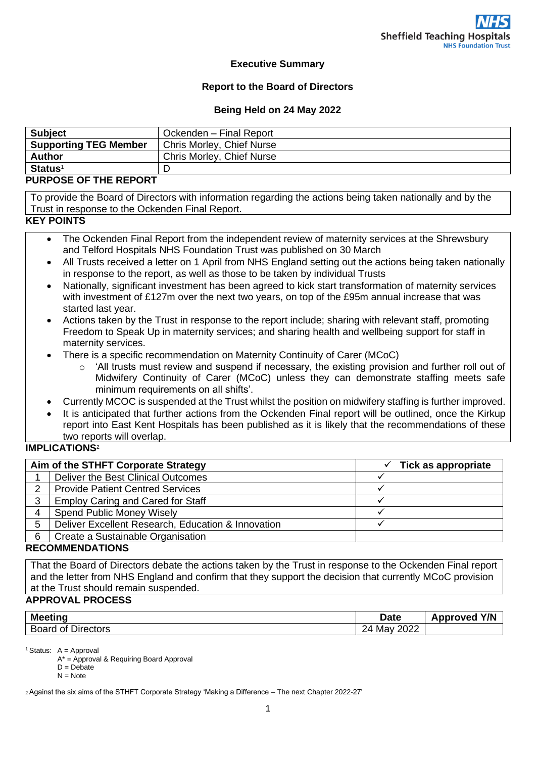### **Executive Summary**

### **Report to the Board of Directors**

#### **Being Held on 24 May 2022**

| <b>Subject</b>               | Ockenden - Final Report   |
|------------------------------|---------------------------|
| <b>Supporting TEG Member</b> | Chris Morley, Chief Nurse |
| <b>Author</b>                | Chris Morley, Chief Nurse |
| <b>Status<sup>1</sup></b>    |                           |

### **PURPOSE OF THE REPORT**

To provide the Board of Directors with information regarding the actions being taken nationally and by the Trust in response to the Ockenden Final Report.

#### **KEY POINTS**

- The Ockenden Final Report from the independent review of maternity services at the Shrewsbury and Telford Hospitals NHS Foundation Trust was published on 30 March
- All Trusts received a letter on 1 April from NHS England setting out the actions being taken nationally in response to the report, as well as those to be taken by individual Trusts
- Nationally, significant investment has been agreed to kick start transformation of maternity services with investment of £127m over the next two years, on top of the £95m annual increase that was started last year.
- Actions taken by the Trust in response to the report include; sharing with relevant staff, promoting Freedom to Speak Up in maternity services; and sharing health and wellbeing support for staff in maternity services.
- There is a specific recommendation on Maternity Continuity of Carer (MCoC)
	- $\circ$  'All trusts must review and suspend if necessary, the existing provision and further roll out of Midwifery Continuity of Carer (MCoC) unless they can demonstrate staffing meets safe minimum requirements on all shifts'.
- Currently MCOC is suspended at the Trust whilst the position on midwifery staffing is further improved.
- It is anticipated that further actions from the Ockenden Final report will be outlined, once the Kirkup report into East Kent Hospitals has been published as it is likely that the recommendations of these two reports will overlap.

### **IMPLICATIONS**<sup>2</sup>

| Aim of the STHFT Corporate Strategy |                                                    | Tick as appropriate |  |  |  |
|-------------------------------------|----------------------------------------------------|---------------------|--|--|--|
|                                     | Deliver the Best Clinical Outcomes                 |                     |  |  |  |
| っ                                   | <b>Provide Patient Centred Services</b>            |                     |  |  |  |
| 3                                   | <b>Employ Caring and Cared for Staff</b>           |                     |  |  |  |
|                                     | <b>Spend Public Money Wisely</b>                   |                     |  |  |  |
| 5                                   | Deliver Excellent Research, Education & Innovation |                     |  |  |  |
| 6                                   | Create a Sustainable Organisation                  |                     |  |  |  |
|                                     | <u> BEAAILLEIR I TIAILA</u>                        |                     |  |  |  |

#### **RECOMMENDATIONS**

That the Board of Directors debate the actions taken by the Trust in response to the Ockenden Final report and the letter from NHS England and confirm that they support the decision that currently MCoC provision at the Trust should remain suspended.

## **APPROVAL PROCESS**

| <b>Meeting</b>                               | <b>Date</b>                           | Y/N<br><b>Nonroveo</b><br>AD' |
|----------------------------------------------|---------------------------------------|-------------------------------|
| $\sim$<br>-<br>Directors<br>∴Boar~<br>rd of: | nnnr<br>24<br>Mav<br>≤∪∠∠<br><u>_</u> |                               |

 $<sup>1</sup>$  Status: A = Approval</sup>

A\* = Approval & Requiring Board Approval

 $D = Debate$  $N = Note$ 

<sup>2</sup>Against the six aims of the STHFT Corporate Strategy 'Making a Difference – The next Chapter 2022-27'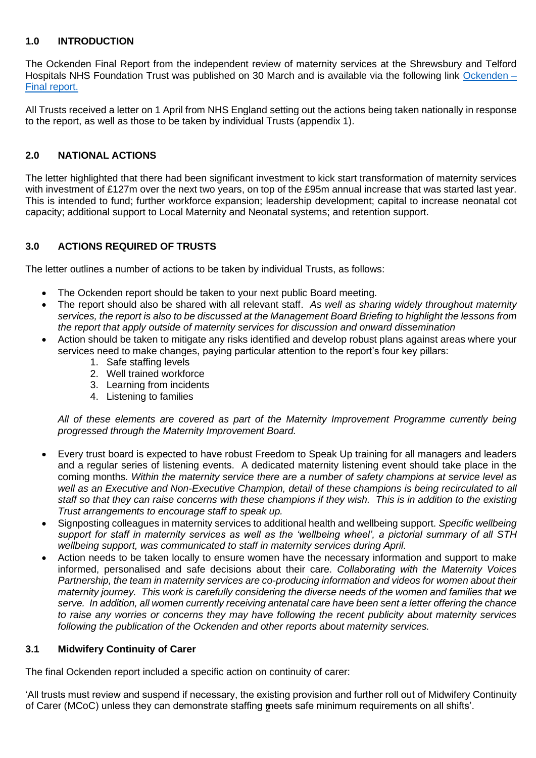### **1.0 INTRODUCTION**

The Ockenden Final Report from the independent review of maternity services at the Shrewsbury and Telford Hospitals NHS Foundation Trust was published on 30 March and is available via the following link [Ockenden –](https://www.ockendenmaternityreview.org.uk/wp-content/uploads/2022/03/FINAL_INDEPENDENT_MATERNITY_REVIEW_OF_MATERNITY_SERVICES_REPORT.pdf) [Final report.](https://www.ockendenmaternityreview.org.uk/wp-content/uploads/2022/03/FINAL_INDEPENDENT_MATERNITY_REVIEW_OF_MATERNITY_SERVICES_REPORT.pdf)

All Trusts received a letter on 1 April from NHS England setting out the actions being taken nationally in response to the report, as well as those to be taken by individual Trusts (appendix 1).

## **2.0 NATIONAL ACTIONS**

The letter highlighted that there had been significant investment to kick start transformation of maternity services with investment of £127m over the next two years, on top of the £95m annual increase that was started last year. This is intended to fund; further workforce expansion; leadership development; capital to increase neonatal cot capacity; additional support to Local Maternity and Neonatal systems; and retention support.

## **3.0 ACTIONS REQUIRED OF TRUSTS**

The letter outlines a number of actions to be taken by individual Trusts, as follows:

- The Ockenden report should be taken to your next public Board meeting.
- The report should also be shared with all relevant staff. *As well as sharing widely throughout maternity services, the report is also to be discussed at the Management Board Briefing to highlight the lessons from the report that apply outside of maternity services for discussion and onward dissemination*
- Action should be taken to mitigate any risks identified and develop robust plans against areas where your services need to make changes, paying particular attention to the report's four key pillars:
	- 1. Safe staffing levels
	- 2. Well trained workforce
	- 3. Learning from incidents
	- 4. Listening to families

*All of these elements are covered as part of the Maternity Improvement Programme currently being progressed through the Maternity Improvement Board.*

- Every trust board is expected to have robust Freedom to Speak Up training for all managers and leaders and a regular series of listening events. A dedicated maternity listening event should take place in the coming months. *Within the maternity service there are a number of safety champions at service level as well as an Executive and Non-Executive Champion, detail of these champions is being recirculated to all staff so that they can raise concerns with these champions if they wish. This is in addition to the existing Trust arrangements to encourage staff to speak up.*
- Signposting colleagues in maternity services to additional health and wellbeing support. *Specific wellbeing support for staff in maternity services as well as the 'wellbeing wheel', a pictorial summary of all STH wellbeing support, was communicated to staff in maternity services during April.*
- Action needs to be taken locally to ensure women have the necessary information and support to make informed, personalised and safe decisions about their care. *Collaborating with the Maternity Voices Partnership, the team in maternity services are co-producing information and videos for women about their maternity journey. This work is carefully considering the diverse needs of the women and families that we serve. In addition, all women currently receiving antenatal care have been sent a letter offering the chance to raise any worries or concerns they may have following the recent publicity about maternity services following the publication of the Ockenden and other reports about maternity services.*

### **3.1 Midwifery Continuity of Carer**

The final Ockenden report included a specific action on continuity of carer:

of Carer (MCoC) unless they can demonstrate staffing <del>meets safe minimum requirements on all shifts</del>'. 'All trusts must review and suspend if necessary, the existing provision and further roll out of Midwifery Continuity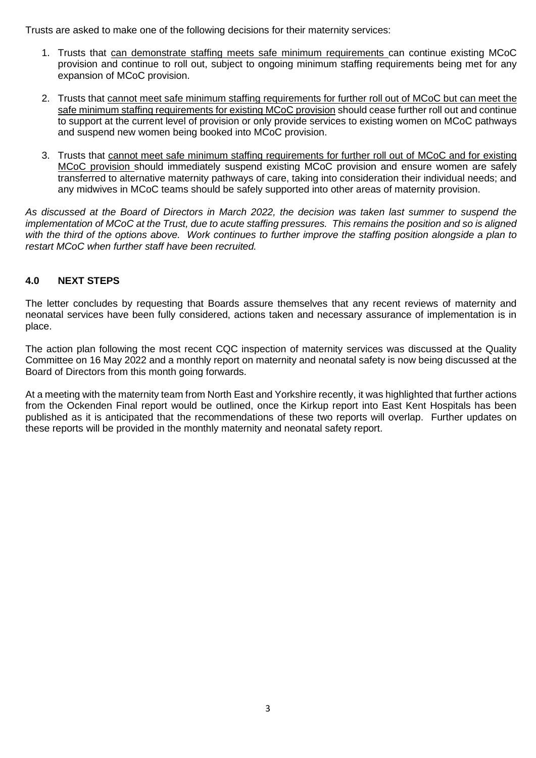Trusts are asked to make one of the following decisions for their maternity services:

- 1. Trusts that can demonstrate staffing meets safe minimum requirements can continue existing MCoC provision and continue to roll out, subject to ongoing minimum staffing requirements being met for any expansion of MCoC provision.
- 2. Trusts that cannot meet safe minimum staffing requirements for further roll out of MCoC but can meet the safe minimum staffing requirements for existing MCoC provision should cease further roll out and continue to support at the current level of provision or only provide services to existing women on MCoC pathways and suspend new women being booked into MCoC provision.
- 3. Trusts that cannot meet safe minimum staffing requirements for further roll out of MCoC and for existing MCoC provision should immediately suspend existing MCoC provision and ensure women are safely transferred to alternative maternity pathways of care, taking into consideration their individual needs; and any midwives in MCoC teams should be safely supported into other areas of maternity provision.

*As discussed at the Board of Directors in March 2022, the decision was taken last summer to suspend the implementation of MCoC at the Trust, due to acute staffing pressures. This remains the position and so is aligned with the third of the options above. Work continues to further improve the staffing position alongside a plan to restart MCoC when further staff have been recruited.*

### **4.0 NEXT STEPS**

The letter concludes by requesting that Boards assure themselves that any recent reviews of maternity and neonatal services have been fully considered, actions taken and necessary assurance of implementation is in place.

The action plan following the most recent CQC inspection of maternity services was discussed at the Quality Committee on 16 May 2022 and a monthly report on maternity and neonatal safety is now being discussed at the Board of Directors from this month going forwards.

At a meeting with the maternity team from North East and Yorkshire recently, it was highlighted that further actions from the Ockenden Final report would be outlined, once the Kirkup report into East Kent Hospitals has been published as it is anticipated that the recommendations of these two reports will overlap. Further updates on these reports will be provided in the monthly maternity and neonatal safety report.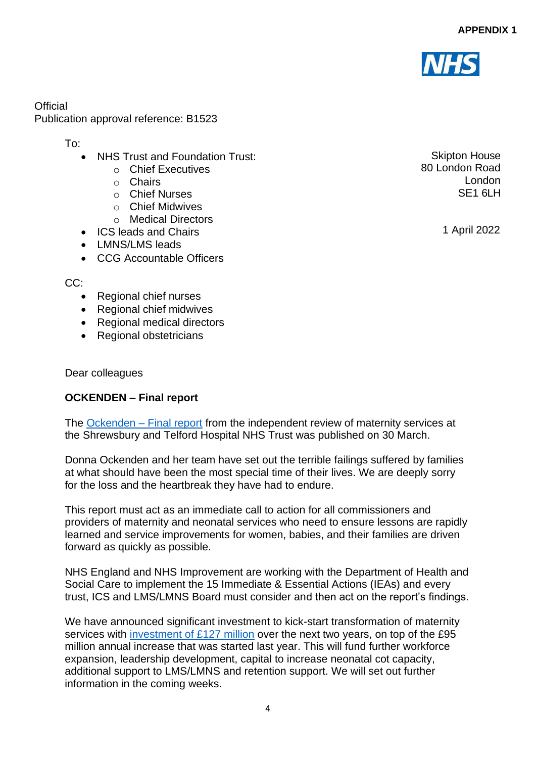

**Official** Publication approval reference: B1523

To:

- NHS Trust and Foundation Trust:
	- o Chief Executives
	- o Chairs
	- o Chief Nurses
	- o Chief Midwives
	- o Medical Directors
- ICS leads and Chairs
- LMNS/LMS leads
- CCG Accountable Officers

CC:

- Regional chief nurses
- Regional chief midwives
- Regional medical directors
- Regional obstetricians

Dear colleagues

# **OCKENDEN – Final report**

The [Ockenden –](https://www.ockendenmaternityreview.org.uk/wp-content/uploads/2022/03/FINAL_INDEPENDENT_MATERNITY_REVIEW_OF_MATERNITY_SERVICES_REPORT.pdf) Final report from the independent review of maternity services at the Shrewsbury and Telford Hospital NHS Trust was published on 30 March.

Donna Ockenden and her team have set out the terrible failings suffered by families at what should have been the most special time of their lives. We are deeply sorry for the loss and the heartbreak they have had to endure.

This report must act as an immediate call to action for all commissioners and providers of maternity and neonatal services who need to ensure lessons are rapidly learned and service improvements for women, babies, and their families are driven forward as quickly as possible.

NHS England and NHS Improvement are working with the Department of Health and Social Care to implement the 15 Immediate & Essential Actions (IEAs) and every trust, ICS and LMS/LMNS Board must consider and then act on the report's findings.

We have announced significant investment to kick-start transformation of maternity services with [investment of £127 million](https://www.england.nhs.uk/2022/03/nhs-announces-127m-maternity-boost-for-patients-and-families/) over the next two years, on top of the £95 million annual increase that was started last year. This will fund further workforce expansion, leadership development, capital to increase neonatal cot capacity, additional support to LMS/LMNS and retention support. We will set out further information in the coming weeks.

Skipton House 80 London Road London SF<sub>1</sub> 6LH

1 April 2022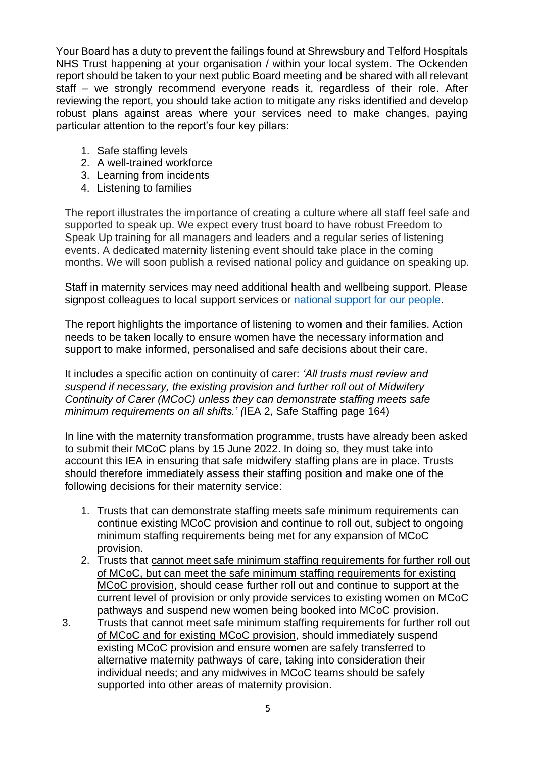Your Board has a duty to prevent the failings found at Shrewsbury and Telford Hospitals NHS Trust happening at your organisation / within your local system. The Ockenden report should be taken to your next public Board meeting and be shared with all relevant staff – we strongly recommend everyone reads it, regardless of their role. After reviewing the report, you should take action to mitigate any risks identified and develop robust plans against areas where your services need to make changes, paying particular attention to the report's four key pillars:

- 1. Safe staffing levels
- 2. A well-trained workforce
- 3. Learning from incidents
- 4. Listening to families

The report illustrates the importance of creating a culture where all staff feel safe and supported to speak up. We expect every trust board to have robust Freedom to Speak Up training for all managers and leaders and a regular series of listening events. A dedicated maternity listening event should take place in the coming months. We will soon publish a revised national policy and guidance on speaking up.

Staff in maternity services may need additional health and wellbeing support. Please signpost colleagues to local support services or [national support for our people.](https://www.england.nhs.uk/supporting-our-nhs-people/support-now/)

The report highlights the importance of listening to women and their families. Action needs to be taken locally to ensure women have the necessary information and support to make informed, personalised and safe decisions about their care.

It includes a specific action on continuity of carer: *'All trusts must review and suspend if necessary, the existing provision and further roll out of Midwifery Continuity of Carer (MCoC) unless they can demonstrate staffing meets safe minimum requirements on all shifts.' (*IEA 2, Safe Staffing page 164)

In line with the maternity transformation programme, trusts have already been asked to submit their MCoC plans by 15 June 2022. In doing so, they must take into account this IEA in ensuring that safe midwifery staffing plans are in place. Trusts should therefore immediately assess their staffing position and make one of the following decisions for their maternity service:

- 1. Trusts that can demonstrate staffing meets safe minimum requirements can continue existing MCoC provision and continue to roll out, subject to ongoing minimum staffing requirements being met for any expansion of MCoC provision.
- 2. Trusts that cannot meet safe minimum staffing requirements for further roll out of MCoC, but can meet the safe minimum staffing requirements for existing MCoC provision, should cease further roll out and continue to support at the current level of provision or only provide services to existing women on MCoC pathways and suspend new women being booked into MCoC provision.
- 3. Trusts that cannot meet safe minimum staffing requirements for further roll out of MCoC and for existing MCoC provision, should immediately suspend existing MCoC provision and ensure women are safely transferred to alternative maternity pathways of care, taking into consideration their individual needs; and any midwives in MCoC teams should be safely supported into other areas of maternity provision.